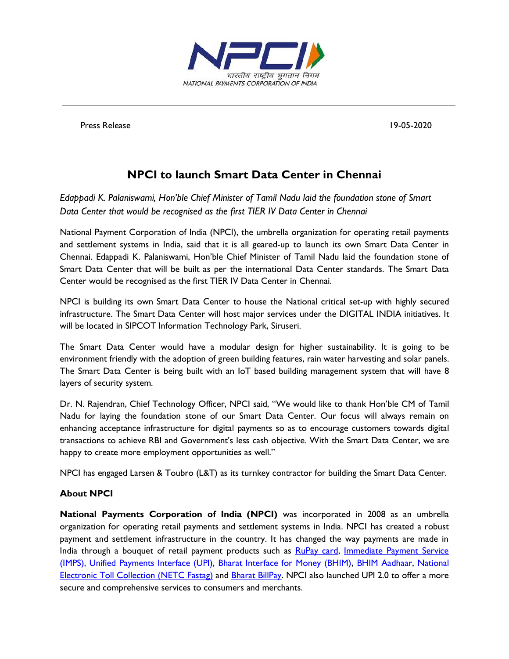

Press Release 19-05-2020

## **NPCI to launch Smart Data Center in Chennai**

*Edappadi K. Palaniswami, Hon'ble Chief Minister of Tamil Nadu laid the foundation stone of Smart Data Center that would be recognised as the first TIER IV Data Center in Chennai*

National Payment Corporation of India (NPCI), the umbrella organization for operating retail payments and settlement systems in India, said that it is all geared-up to launch its own Smart Data Center in Chennai. Edappadi K. Palaniswami, Hon'ble Chief Minister of Tamil Nadu laid the foundation stone of Smart Data Center that will be built as per the international Data Center standards. The Smart Data Center would be recognised as the first TIER IV Data Center in Chennai.

NPCI is building its own Smart Data Center to house the National critical set-up with highly secured infrastructure. The Smart Data Center will host major services under the DIGITAL INDIA initiatives. It will be located in SIPCOT Information Technology Park, Siruseri.

The Smart Data Center would have a modular design for higher sustainability. It is going to be environment friendly with the adoption of green building features, rain water harvesting and solar panels. The Smart Data Center is being built with an IoT based building management system that will have 8 layers of security system.

Dr. N. Rajendran, Chief Technology Officer, NPCI said, "We would like to thank Hon'ble CM of Tamil Nadu for laying the foundation stone of our Smart Data Center. Our focus will always remain on enhancing acceptance infrastructure for digital payments so as to encourage customers towards digital transactions to achieve RBI and Government's less cash objective. With the Smart Data Center, we are happy to create more employment opportunities as well."

NPCI has engaged Larsen & Toubro (L&T) as its turnkey contractor for building the Smart Data Center.

## **About NPCI**

**National Payments Corporation of India (NPCI)** was incorporated in 2008 as an umbrella organization for operating retail payments and settlement systems in India. NPCI has created a robust payment and settlement infrastructure in the country. It has changed the way payments are made in India through a bouquet of retail payment products such as [RuPay card,](https://www.npci.org.in/product-overview/rupay-product-overview) Immediate Payment Service [\(IMPS\),](https://www.npci.org.in/product-overview/imps-product-overview) [Unified Payments Interface \(UPI\),](https://www.npci.org.in/product-overview/upi-product-overview) [Bharat Interface for Money \(BHIM\),](https://www.npci.org.in/product-overview/bhim-product-overview) [BHIM Aadhaar,](https://www.npci.org.in/product-overview/bhim-aadhaar) [National](https://www.npci.org.in/netc)  [Electronic Toll Collection \(NETC](https://www.npci.org.in/netc) Fastag) and [Bharat BillPay.](https://www.npci.org.in/product-overview/bharat-billpay-product-overview) NPCI also launched UPI 2.0 to offer a more secure and comprehensive services to consumers and merchants.